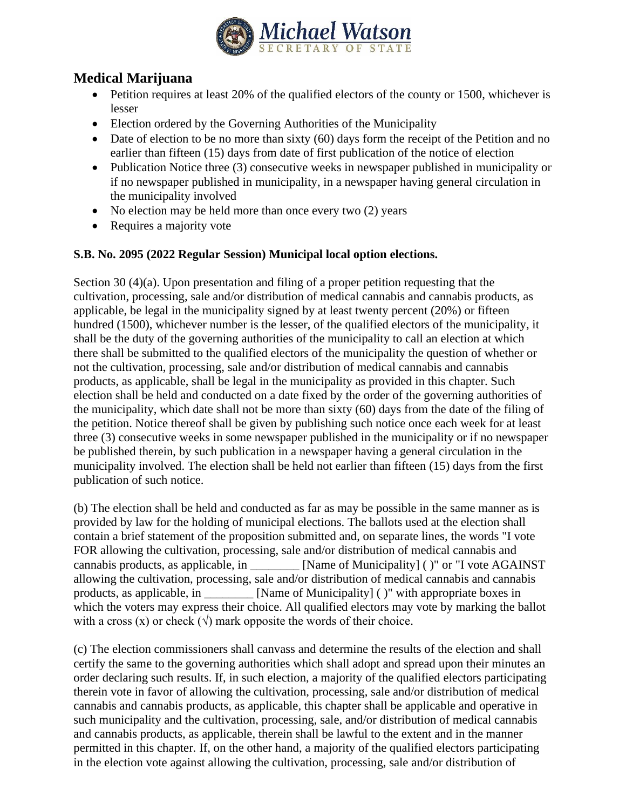

## **Medical Marijuana**

- Petition requires at least 20% of the qualified electors of the county or 1500, whichever is lesser
- Election ordered by the Governing Authorities of the Municipality
- Date of election to be no more than sixty (60) days form the receipt of the Petition and no earlier than fifteen (15) days from date of first publication of the notice of election
- Publication Notice three (3) consecutive weeks in newspaper published in municipality or if no newspaper published in municipality, in a newspaper having general circulation in the municipality involved
- No election may be held more than once every two (2) years
- Requires a majority vote

## **S.B. No. 2095 (2022 Regular Session) Municipal local option elections.**

Section 30 (4)(a). Upon presentation and filing of a proper petition requesting that the cultivation, processing, sale and/or distribution of medical cannabis and cannabis products, as applicable, be legal in the municipality signed by at least twenty percent (20%) or fifteen hundred (1500), whichever number is the lesser, of the qualified electors of the municipality, it shall be the duty of the governing authorities of the municipality to call an election at which there shall be submitted to the qualified electors of the municipality the question of whether or not the cultivation, processing, sale and/or distribution of medical cannabis and cannabis products, as applicable, shall be legal in the municipality as provided in this chapter. Such election shall be held and conducted on a date fixed by the order of the governing authorities of the municipality, which date shall not be more than sixty (60) days from the date of the filing of the petition. Notice thereof shall be given by publishing such notice once each week for at least three (3) consecutive weeks in some newspaper published in the municipality or if no newspaper be published therein, by such publication in a newspaper having a general circulation in the municipality involved. The election shall be held not earlier than fifteen (15) days from the first publication of such notice.

(b) The election shall be held and conducted as far as may be possible in the same manner as is provided by law for the holding of municipal elections. The ballots used at the election shall contain a brief statement of the proposition submitted and, on separate lines, the words "I vote FOR allowing the cultivation, processing, sale and/or distribution of medical cannabis and cannabis products, as applicable, in \_\_\_\_\_\_\_\_ [Name of Municipality] ( )" or "I vote AGAINST allowing the cultivation, processing, sale and/or distribution of medical cannabis and cannabis products, as applicable, in \_\_\_\_\_\_\_\_ [Name of Municipality] ( )" with appropriate boxes in which the voters may express their choice. All qualified electors may vote by marking the ballot with a cross (x) or check ( $\sqrt{ }$ ) mark opposite the words of their choice.

(c) The election commissioners shall canvass and determine the results of the election and shall certify the same to the governing authorities which shall adopt and spread upon their minutes an order declaring such results. If, in such election, a majority of the qualified electors participating therein vote in favor of allowing the cultivation, processing, sale and/or distribution of medical cannabis and cannabis products, as applicable, this chapter shall be applicable and operative in such municipality and the cultivation, processing, sale, and/or distribution of medical cannabis and cannabis products, as applicable, therein shall be lawful to the extent and in the manner permitted in this chapter. If, on the other hand, a majority of the qualified electors participating in the election vote against allowing the cultivation, processing, sale and/or distribution of